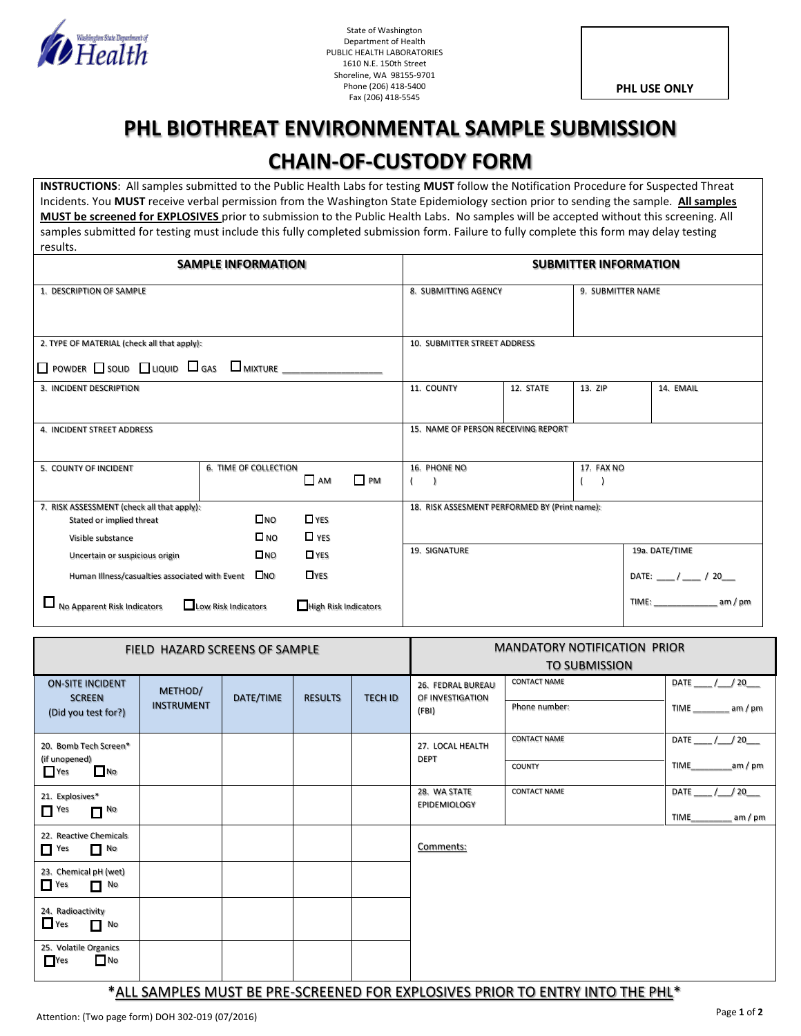

State of Washington Department of Health PUBLIC HEALTH LABORATORIES 1610 N.E. 150th Street Shoreline, WA 98155-9701 Phone (206) 418-5400 Fax (206) 418-5545

**PHL USE ONLY**

## **PHL BIOTHREAT ENVIRONMENTAL SAMPLE SUBMISSION CHAIN-OF-CUSTODY FORM**

**INSTRUCTIONS**: All samples submitted to the Public Health Labs for testing **MUST** follow the Notification Procedure for Suspected Threat Incidents. You **MUST** receive verbal permission from the Washington State Epidemiology section prior to sending the sample. **All samples MUST be screened for EXPLOSIVES** prior to submission to the Public Health Labs. No samples will be accepted without this screening. All samples submitted for testing must include this fully completed submission form. Failure to fully complete this form may delay testing results.

| <b>SAMPLE INFORMATION</b>                                                                      | <b>SUBMITTER INFORMATION</b>               |                                     |           |                                               |           |            |                                                   |  |
|------------------------------------------------------------------------------------------------|--------------------------------------------|-------------------------------------|-----------|-----------------------------------------------|-----------|------------|---------------------------------------------------|--|
| 1. DESCRIPTION OF SAMPLE                                                                       | 8. SUBMITTING AGENCY<br>9. SUBMITTER NAME  |                                     |           |                                               |           |            |                                                   |  |
| 2. TYPE OF MATERIAL (check all that apply):                                                    | 10. SUBMITTER STREET ADDRESS               |                                     |           |                                               |           |            |                                                   |  |
| $\Box$ Powder $\Box$ Solid $\Box$ Liquid $\Box$ Gas $\Box$ Mixture $\Box$ $\Box$ $\Box$ $\Box$ |                                            |                                     |           |                                               |           |            |                                                   |  |
| 3. INCIDENT DESCRIPTION                                                                        |                                            |                                     |           | 11. COUNTY                                    | 12. STATE | 13. ZIP    | 14. EMAIL                                         |  |
| 4. INCIDENT STREET ADDRESS                                                                     |                                            |                                     |           | 15. NAME OF PERSON RECEIVING REPORT           |           |            |                                                   |  |
| 5. COUNTY OF INCIDENT                                                                          | 6. TIME OF COLLECTION                      | AM                                  | $\Box$ PM | 16. PHONE NO                                  |           | 17. FAX NO |                                                   |  |
| 7. RISK ASSESSMENT (check all that apply):<br>Stated or implied threat<br>Visible substance    | $\square$ NO<br>$\square$ NO               | $\Box$ YES<br>$\Box$ YES            |           | 18. RISK ASSESMENT PERFORMED BY (Print name): |           |            |                                                   |  |
| Uncertain or suspicious origin                                                                 | $\square$ NO                               | $\Box$ YES                          |           | 19. SIGNATURE                                 |           |            | 19a. DATE/TIME                                    |  |
| Human Illness/casualties associated with Event<br>$\Box$<br>No Apparent Risk Indicators        | $\square$ NO<br>$\Box$ Low Risk Indicators | <b>TYES</b><br>High Risk Indicators |           |                                               |           |            | DATE: ____ / ____ / 20___<br>TIME:<br>$am$ / $pm$ |  |

| FIELD HAZARD SCREENS OF SAMPLE                                                |                              |           |                |                | <b>MANDATORY NOTIFICATION PRIOR</b><br><b>TO SUBMISSION</b> |                                      |                           |  |
|-------------------------------------------------------------------------------|------------------------------|-----------|----------------|----------------|-------------------------------------------------------------|--------------------------------------|---------------------------|--|
| <b>ON-SITE INCIDENT</b><br><b>SCREEN</b><br>(Did you test for?)               | METHOD/<br><b>INSTRUMENT</b> | DATE/TIME | <b>RESULTS</b> | <b>TECH ID</b> | 26. FEDRAL BUREAU<br>OF INVESTIGATION<br>(FBI)              | <b>CONTACT NAME</b><br>Phone number: | DATE / / 20<br>TIME am/pm |  |
|                                                                               |                              |           |                |                |                                                             |                                      |                           |  |
| 20. Bomb Tech Screen*                                                         |                              |           |                |                | 27. LOCAL HEALTH<br><b>DEPT</b>                             | <b>CONTACT NAME</b>                  | DATE<br>/20               |  |
| (if unopened)<br>$\Box$ No<br>Yes                                             |                              |           |                |                |                                                             | <b>COUNTY</b>                        | <b>TIME</b><br>$am$ / pm  |  |
| 21. Explosives*                                                               |                              |           |                |                | 28. WA STATE<br><b>EPIDEMIOLOGY</b>                         | <b>CONTACT NAME</b>                  | <b>DATE</b><br>/ 20       |  |
| $\Box$ Yes<br>$\Box$ No                                                       |                              |           |                |                |                                                             |                                      | TIME<br>am/pm             |  |
| 22. Reactive Chemicals<br>$\Box$ No<br>$\Gamma$ Yes                           |                              |           |                |                | Comments:                                                   |                                      |                           |  |
| 23. Chemical pH (wet)<br>$\Gamma$ Yes<br>$\blacksquare$ No                    |                              |           |                |                |                                                             |                                      |                           |  |
| 24. Radioactivity<br>$\Box$ Yes<br>No                                         |                              |           |                |                |                                                             |                                      |                           |  |
| 25. Volatile Organics<br>$\Box$ No<br>$\Gamma$ Yes                            |                              |           |                |                |                                                             |                                      |                           |  |
| *ALL SAMPLES MUST BE PRE-SCREENED FOR EXPLOSIVES PRIOR TO ENTRY INTO THE PHL* |                              |           |                |                |                                                             |                                      |                           |  |